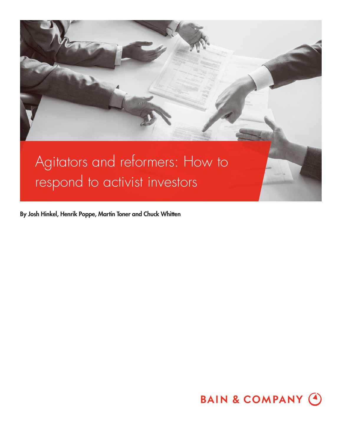

**By Josh Hinkel, Henrik Poppe, Martin Toner and Chuck Whitten**

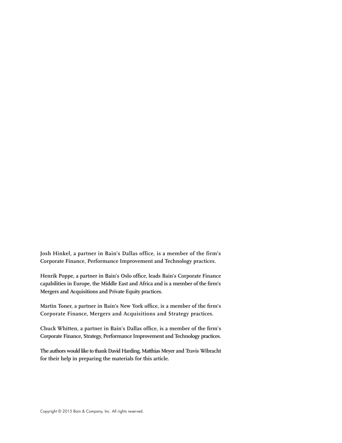**Josh Hinkel, a partner in Bain's Dallas office, is a member of the firm's Corporate Finance, Performance Improvement and Technology practices.**

Henrik Poppe, a partner in Bain's Oslo office, leads Bain's Corporate Finance capabilities in Europe, the Middle East and Africa and is a member of the firm's **Mergers and Acquisitions and Private Equity practices.**

Martin Toner, a partner in Bain's New York office, is a member of the firm's **Corporate Finance, Mergers and Acquisitions and Strategy practices.**

Chuck Whitten, a partner in Bain's Dallas office, is a member of the firm's **Corporate Finance, Strategy, Performance Improvement and Technology practices.**

**The authors would like to thank David Harding, Matthias Meyer and Travis Wibracht for their help in preparing the materials for this article.**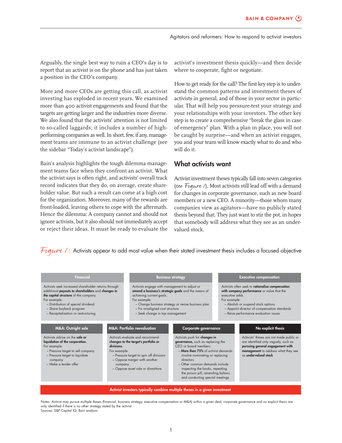Arguably, the single best way to ruin a CEO's day is to report that an activist is on the phone and has just taken a position in the CEO's company.

More and more CEOs are getting this call, as activist investing has exploded in recent years. We examined more than 400 activist engagements and found that the targets are getting larger and the industries more diverse. We also found that the activists' attention is not limited to so-called laggards; it includes a number of highperforming companies as well. In short, few, if any, management teams are immune to an activist challenge (see the sidebar "Today's activist landscape").

Bain's analysis highlights the tough dilemma management teams face when they confront an activist. What the activist says is often right, and activists' overall track record indicates that they do, on average, create shareholder value. But such a result can come at a high cost for the organization. Moreover, many of the rewards are front-loaded, leaving others to cope with the aftermath. Hence the dilemma: A company cannot and should not ignore activists, but it also should not immediately accept or reject their ideas. It must be ready to evaluate the

activist's investment thesis quickly—and then decide where to cooperate, fight or negotiate.

How to get ready for the call? The first key step is to understand the common patterns and investment theses of activists in general, and of those in your sector in particular. That will help you pressure-test your strategy and your relationships with your investors. The other key step is to create a comprehensive "break the glass in case of emergency" plan. With a plan in place, you will not be caught by surprise—and when an activist engages, you and your team will know exactly what to do and who will do it.

## **What activists want**

Activist investment theses typically fall into seven categories (see Figure /). Most activists still lead off with a demand for changes in corporate governance, such as new board members or a new CEO. A minority—those whom many companies view as agitators—have no publicly stated thesis beyond that. They just want to stir the pot, in hopes that somebody will address what they see as an undervalued stock.

Figure 1: Activists appear to add most value when their stated investment thesis includes a focused objective

| <b>Financial</b>                                                                                                                                                                                                                                                                                                    |  | <b>Business strategy</b>                                                                                                                                                                        |                                                                                                                                                                                                                                 | <b>Executive compensation</b>   |                                                                                                                                                                                                                               |
|---------------------------------------------------------------------------------------------------------------------------------------------------------------------------------------------------------------------------------------------------------------------------------------------------------------------|--|-------------------------------------------------------------------------------------------------------------------------------------------------------------------------------------------------|---------------------------------------------------------------------------------------------------------------------------------------------------------------------------------------------------------------------------------|---------------------------------|-------------------------------------------------------------------------------------------------------------------------------------------------------------------------------------------------------------------------------|
| Activists seek increased shareholder returns through<br>additional payouts to shareholders and changes in<br>the capital structure of the company.<br>For example:<br>- Distribution of special dividend<br>- Share buyback program<br>- Recapitalization or restructuring                                          |  | Activists engage with management to adjust or<br>achieving current goals.<br>For example:<br>- Fix misaligned cost structure<br>- Seek change in top management                                 | amend a business's strategic goals and the means of<br>- Change business strategy or revise business plan                                                                                                                       | executive adds.<br>For example: | Activists often seek to rationalize compensation<br>with company performance or value that the<br>- Abolish or suspend stock options<br>- Appoint director of compensation standards<br>- Raise performance evaluation issues |
| <b>M&amp;A: Portfolio reevaluation</b><br><b>M&amp;A: Outright sale</b><br>Activists advise on the sale or<br>liquidation of the corporation.<br>divisions.<br>For example:<br>- Pressure target to sell company<br>For example:<br>- Pressure target to liquidate<br>company<br>$-$ Make a tender offer<br>company |  | Corporate governance<br>Activists evaluate and recommend<br>Activists push for changes in<br>governance, such as replacing the<br>changes to the target's portfolio or<br>CEO or board members. |                                                                                                                                                                                                                                 |                                 | No explicit thesis<br>Activists' theses are not made public or<br>are identified only vaguely, such as<br>pursuing general engagement with<br>management to address what they see<br>as undervalued stock                     |
|                                                                                                                                                                                                                                                                                                                     |  | - Pressure target to spin off divisions<br>- Oppose merger with another<br>- Oppose asset sale or divestiture                                                                                   | - More than 75% of activist demands<br>involve nominating or replacing<br>directors<br>- Other common demands include<br>inspecting the books, repealing<br>the poison pill, amending bylaws<br>and conducting special meetings |                                 |                                                                                                                                                                                                                               |
|                                                                                                                                                                                                                                                                                                                     |  |                                                                                                                                                                                                 | Activist investors typically combine multiple theses in a given investment                                                                                                                                                      |                                 |                                                                                                                                                                                                                               |

Notes: Activist may pursue multiple theses (financial, business strategy, executive compensation or M&A) within a given deal; corporate governance and no explicit thesis are only identified if there is no other strategy stated by the activist Sources: S&P Capital IQ; Bain analysis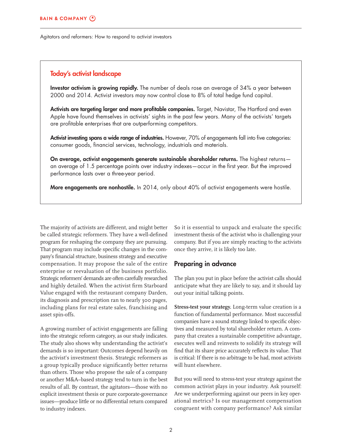#### **Today's activist landscape**

**Investor activism is growing rapidly.** The number of deals rose an average of 34% a year between 2000 and 2014. Activist investors may now control close to 8% of total hedge fund capital.

Activists are targeting larger and more profitable companies. Target, Navistar, The Hartford and even Apple have found themselves in activists' sights in the past few years. Many of the activists' targets are profitable enterprises that are outperforming competitors.

Activist investing spans a wide range of industries. However, 70% of engagements fall into five categories: consumer goods, financial services, technology, industrials and materials.

**On average, activist engagements generate sustainable shareholder returns.** The highest returns an average of 1.5 percentage points over industry indexes-occur in the first year. But the improved performance lasts over a three-year period.

**More engagements are nonhostile.** In 2014, only about 40% of activist engagements were hostile.

The majority of activists are different, and might better be called strategic reformers. They have a well-defined program for reshaping the company they are pursuing. That program may include specific changes in the company's financial structure, business strategy and executive compensation. It may propose the sale of the entire enterprise or reevaluation of the business portfolio. Strategic reformers' demands are often carefully researched and highly detailed. When the activist firm Starboard Value engaged with the restaurant company Darden, its diagnosis and prescription ran to nearly 300 pages, including plans for real estate sales, franchising and asset spin-offs.

A growing number of activist engagements are falling into the strategic reform category, as our study indicates. The study also shows why understanding the activist's demands is so important: Outcomes depend heavily on the activist's investment thesis. Strategic reformers as a group typically produce significantly better returns than others. Those who propose the sale of a company or another M&A–based strategy tend to turn in the best results of all. By contrast, the agitators—those with no explicit investment thesis or pure corporate-governance issues—produce little or no differential return compared to industry indexes.

So it is essential to unpack and evaluate the specific investment thesis of the activist who is challenging your company. But if you are simply reacting to the activists once they arrive, it is likely too late.

#### **Preparing in advance**

The plan you put in place before the activist calls should anticipate what they are likely to say, and it should lay out your initial talking points.

**Stress-test your strategy.** Long-term value creation is a function of fundamental performance. Most successful companies have a sound strategy linked to specific objectives and measured by total shareholder return. A company that creates a sustainable competitive advantage, executes well and reinvests to solidify its strategy will find that its share price accurately reflects its value. That is critical: If there is no arbitrage to be had, most activists will hunt elsewhere.

But you will need to stress-test your strategy against the common activist plays in your industry. Ask yourself: Are we underperforming against our peers in key operational metrics? Is our management compensation congruent with company performance? Ask similar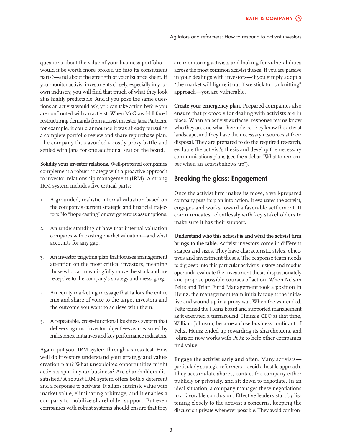questions about the value of your business portfolio would it be worth more broken up into its constituent parts?—and about the strength of your balance sheet. If you monitor activist investments closely, especially in your own industry, you will find that much of what they look at is highly predictable. And if you pose the same questions an activist would ask, you can take action before you are confronted with an activist. When McGraw-Hill faced restructuring demands from activist investor Jana Partners, for example, it could announce it was already pursuing a complete portfolio review and share repurchase plan. The company thus avoided a costly proxy battle and settled with Jana for one additional seat on the board.

**Solidify your investor relations.** Well-prepared companies complement a robust strategy with a proactive approach to investor relationship management (IRM). A strong IRM system includes five critical parts:

- 1. A grounded, realistic internal valuation based on the company's current strategic and financial trajectory. No "hope casting" or overgenerous assumptions.
- 2. An understanding of how that internal valuation compares with existing market valuation—and what accounts for any gap.
- 3. An investor targeting plan that focuses management attention on the most critical investors, meaning those who can meaningfully move the stock and are receptive to the company's strategy and messaging.
- 4. An equity marketing message that tailors the entire mix and share of voice to the target investors and the outcome you want to achieve with them.
- 5. A repeatable, cross-functional business system that delivers against investor objectives as measured by milestones, initiatives and key performance indicators.

Again, put your IRM system through a stress test. How well do investors understand your strategy and valuecreation plan? What unexploited opportunities might activists spot in your business? Are shareholders dissatisfied? A robust IRM system offers both a deterrent and a response to activists: It aligns intrinsic value with market value, eliminating arbitrage, and it enables a company to mobilize shareholder support. But even companies with robust systems should ensure that they

are monitoring activists and looking for vulnerabilities across the most common activist theses. If you are passive in your dealings with investors—if you simply adopt a "the market will figure it out if we stick to our knitting" approach—you are vulnerable.

**Create your emergency plan.** Prepared companies also ensure that protocols for dealing with activists are in place. When an activist surfaces, response teams know who they are and what their role is. They know the activist landscape, and they have the necessary resources at their disposal. They are prepared to do the required research, evaluate the activist's thesis and develop the necessary communications plans (see the sidebar "What to remember when an activist shows up").

# **Breaking the glass: Engagement**

Once the activist firm makes its move, a well-prepared company puts its plan into action. It evaluates the activist, engages and works toward a favorable settlement. It communicates relentlessly with key stakeholders to make sure it has their support.

Understand who this activist is and what the activist firm **brings to the table.** Activist investors come in different shapes and sizes. They have characteristic styles, objectives and investment theses. The response team needs to dig deep into this particular activist's history and modus operandi, evaluate the investment thesis dispassionately and propose possible courses of action. When Nelson Peltz and Trian Fund Management took a position in Heinz, the management team initially fought the initiative and wound up in a proxy war. When the war ended, Peltz joined the Heinz board and supported management as it executed a turnaround. Heinz's CEO at that time, William Johnson, became a close business confidant of Peltz. Heinz ended up rewarding its shareholders, and Johnson now works with Peltz to help other companies find value.

**Engage the activist early and often.** Many activists particularly strategic reformers—avoid a hostile approach. They accumulate shares, contact the company either publicly or privately, and sit down to negotiate. In an ideal situation, a company manages these negotiations to a favorable conclusion. Effective leaders start by listening closely to the activist's concerns, keeping the discussion private whenever possible. They avoid confron-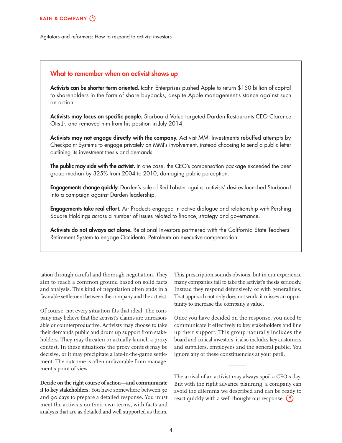#### **What to remember when an activist shows up**

**Activists can be shorter-term oriented.** Icahn Enterprises pushed Apple to return \$150 billion of capital to shareholders in the form of share buybacks, despite Apple management's stance against such an action.

Activists may focus on specific people. Starboard Value targeted Darden Restaurants CEO Clarence Otis Jr. and removed him from his position in July 2014.

**Activists may not engage directly with the company.** Activist MMI Investments rebuffed attempts by Checkpoint Systems to engage privately on MMI's involvement, instead choosing to send a public letter outlining its investment thesis and demands.

**The public may side with the activist.** In one case, the CEO's compensation package exceeded the peer group median by 325% from 2004 to 2010, damaging public perception.

**Engagements change quickly.** Darden's sale of Red Lobster against activists' desires launched Starboard into a campaign against Darden leadership.

**Engagements take real effort.** Air Products engaged in active dialogue and relationship with Pershing Square Holdings across a number of issues related to finance, strategy and governance.

**Activists do not always act alone.** Relational Investors partnered with the California State Teachers' Retirement System to engage Occidental Petroleum on executive compensation.

tation through careful and thorough negotiation. They aim to reach a common ground based on solid facts and analysis. This kind of negotiation often ends in a favorable settlement between the company and the activist.

Of course, not every situation fits that ideal. The company may believe that the activist's claims are unreasonable or counterproductive. Activists may choose to take their demands public and drum up support from stakeholders. They may threaten or actually launch a proxy contest. In these situations the proxy contest may be decisive, or it may precipitate a late-in-the-game settlement. The outcome is often unfavorable from management's point of view.

**Decide on the right course of action—and communicate it to key stakeholders.** You have somewhere between 30 and 90 days to prepare a detailed response. You must meet the activists on their own terms, with facts and analysis that are as detailed and well supported as theirs.

This prescription sounds obvious, but in our experience many companies fail to take the activist's thesis seriously. Instead they respond defensively, or with generalities. That approach not only does not work; it misses an opportunity to increase the company's value.

Once you have decided on the response, you need to communicate it effectively to key stakeholders and line up their support. This group naturally includes the board and critical investors; it also includes key customers and suppliers, employees and the general public. You ignore any of these constituencies at your peril.

The arrival of an activist may always spoil a CEO's day. But with the right advance planning, a company can avoid the dilemma we described and can be ready to react quickly with a well-thought-out response.  $\bigcirc$ 

and the contract of the contract of the contract of the contract of the contract of the contract of the contract of the contract of the contract of the contract of the contract of the contract of the contract of the contra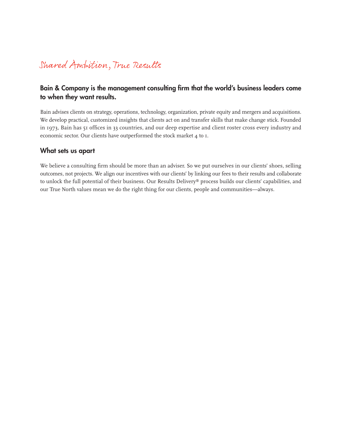# Shared Ampition, True Results

# Bain & Company is the management consulting firm that the world's business leaders come **to when they want results.**

Bain advises clients on strategy, operations, technology, organization, private equity and mergers and acquisitions. We develop practical, customized insights that clients act on and transfer skills that make change stick. Founded in 1973, Bain has 51 offices in 33 countries, and our deep expertise and client roster cross every industry and economic sector. Our clients have outperformed the stock market 4 to 1.

## **What sets us apart**

We believe a consulting firm should be more than an adviser. So we put ourselves in our clients' shoes, selling outcomes, not projects. We align our incentives with our clients' by linking our fees to their results and collaborate to unlock the full potential of their business. Our Results Delivery® process builds our clients' capabilities, and our True North values mean we do the right thing for our clients, people and communities—always.